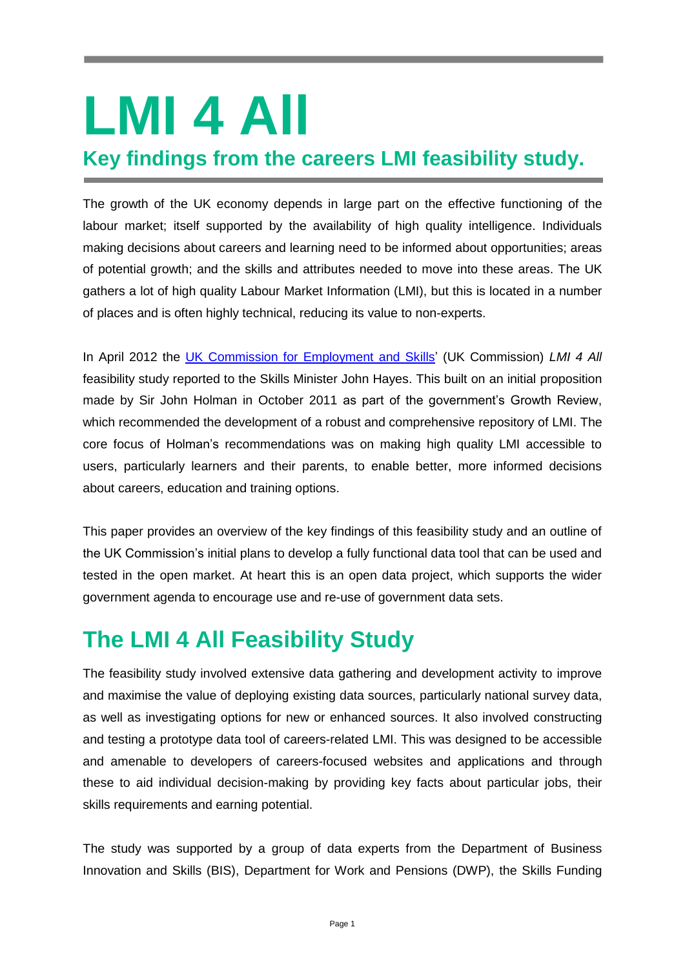# **LMI 4 All**

#### **Key findings from the careers LMI feasibility study.**

The growth of the UK economy depends in large part on the effective functioning of the labour market; itself supported by the availability of high quality intelligence. Individuals making decisions about careers and learning need to be informed about opportunities; areas of potential growth; and the skills and attributes needed to move into these areas. The UK gathers a lot of high quality Labour Market Information (LMI), but this is located in a number of places and is often highly technical, reducing its value to non-experts.

In April 2012 the [UK Commission for Employment and Skills'](http://www.ukces.org.uk/) (UK Commission) *LMI 4 All* feasibility study reported to the Skills Minister John Hayes. This built on an initial proposition made by Sir John Holman in October 2011 as part of the government's Growth Review, which recommended the development of a robust and comprehensive repository of LMI. The core focus of Holman's recommendations was on making high quality LMI accessible to users, particularly learners and their parents, to enable better, more informed decisions about careers, education and training options.

This paper provides an overview of the key findings of this feasibility study and an outline of the UK Commission's initial plans to develop a fully functional data tool that can be used and tested in the open market. At heart this is an open data project, which supports the wider government agenda to encourage use and re-use of government data sets.

# **The LMI 4 All Feasibility Study**

The feasibility study involved extensive data gathering and development activity to improve and maximise the value of deploying existing data sources, particularly national survey data, as well as investigating options for new or enhanced sources. It also involved constructing and testing a prototype data tool of careers-related LMI. This was designed to be accessible and amenable to developers of careers-focused websites and applications and through these to aid individual decision-making by providing key facts about particular jobs, their skills requirements and earning potential.

The study was supported by a group of data experts from the Department of Business Innovation and Skills (BIS), Department for Work and Pensions (DWP), the Skills Funding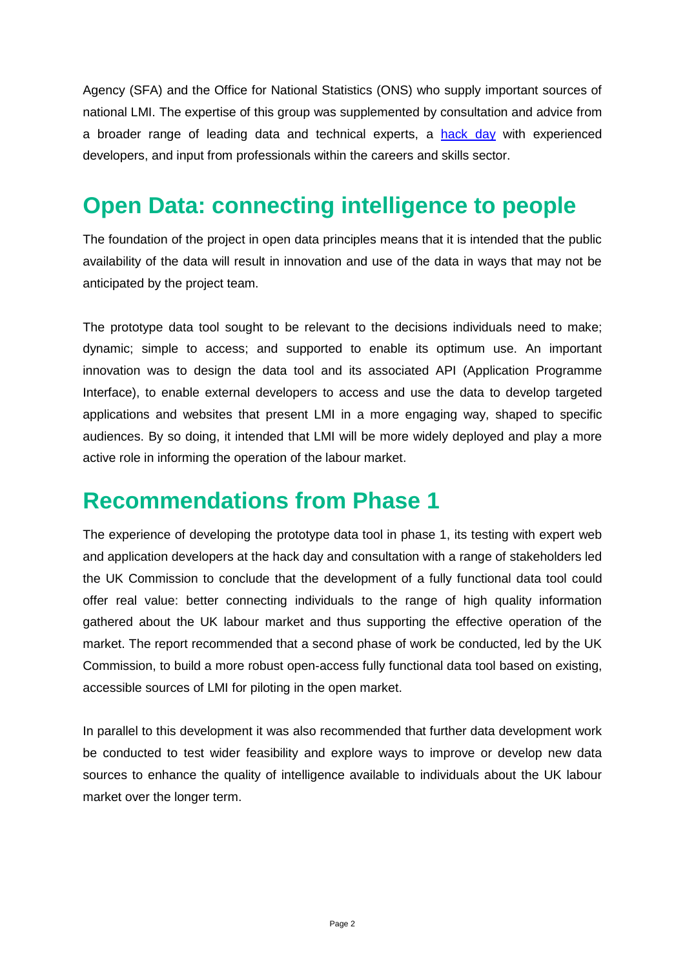Agency (SFA) and the Office for National Statistics (ONS) who supply important sources of national LMI. The expertise of this group was supplemented by consultation and advice from a broader range of leading data and technical experts, a [hack day](http://rewiredstate.org/events/ukces-db-hack) with experienced developers, and input from professionals within the careers and skills sector.

# **Open Data: connecting intelligence to people**

The foundation of the project in open data principles means that it is intended that the public availability of the data will result in innovation and use of the data in ways that may not be anticipated by the project team.

The prototype data tool sought to be relevant to the decisions individuals need to make; dynamic; simple to access; and supported to enable its optimum use. An important innovation was to design the data tool and its associated API (Application Programme Interface), to enable external developers to access and use the data to develop targeted applications and websites that present LMI in a more engaging way, shaped to specific audiences. By so doing, it intended that LMI will be more widely deployed and play a more active role in informing the operation of the labour market.

### **Recommendations from Phase 1**

The experience of developing the prototype data tool in phase 1, its testing with expert web and application developers at the hack day and consultation with a range of stakeholders led the UK Commission to conclude that the development of a fully functional data tool could offer real value: better connecting individuals to the range of high quality information gathered about the UK labour market and thus supporting the effective operation of the market. The report recommended that a second phase of work be conducted, led by the UK Commission, to build a more robust open-access fully functional data tool based on existing, accessible sources of LMI for piloting in the open market.

In parallel to this development it was also recommended that further data development work be conducted to test wider feasibility and explore ways to improve or develop new data sources to enhance the quality of intelligence available to individuals about the UK labour market over the longer term.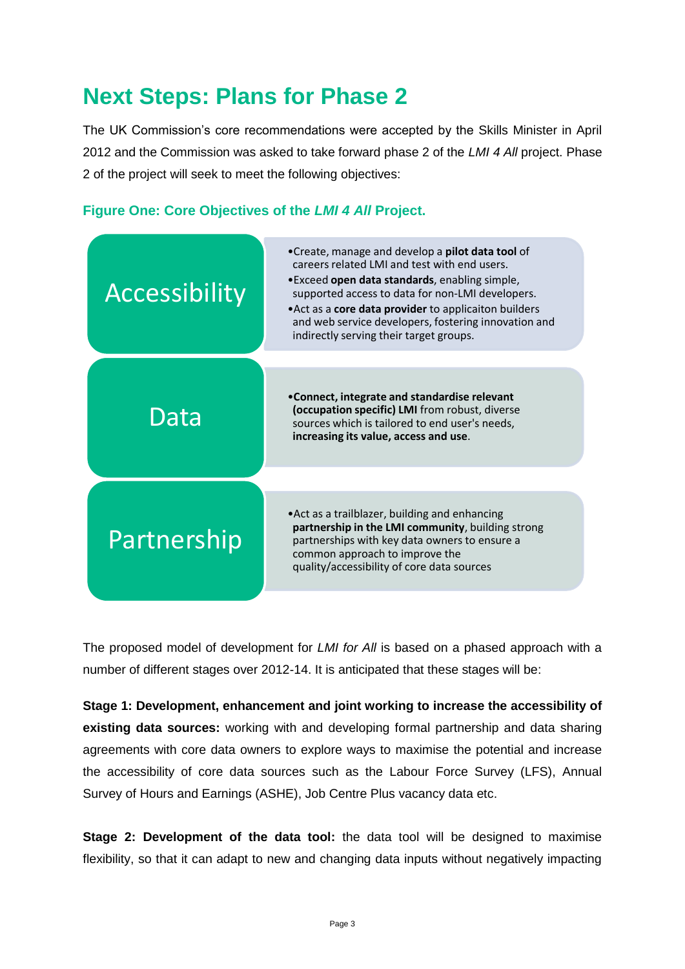# **Next Steps: Plans for Phase 2**

The UK Commission's core recommendations were accepted by the Skills Minister in April 2012 and the Commission was asked to take forward phase 2 of the *LMI 4 All* project. Phase 2 of the project will seek to meet the following objectives:





The proposed model of development for *LMI for All* is based on a phased approach with a number of different stages over 2012-14. It is anticipated that these stages will be:

**Stage 1: Development, enhancement and joint working to increase the accessibility of existing data sources:** working with and developing formal partnership and data sharing agreements with core data owners to explore ways to maximise the potential and increase the accessibility of core data sources such as the Labour Force Survey (LFS), Annual Survey of Hours and Earnings (ASHE), Job Centre Plus vacancy data etc.

**Stage 2: Development of the data tool:** the data tool will be designed to maximise flexibility, so that it can adapt to new and changing data inputs without negatively impacting